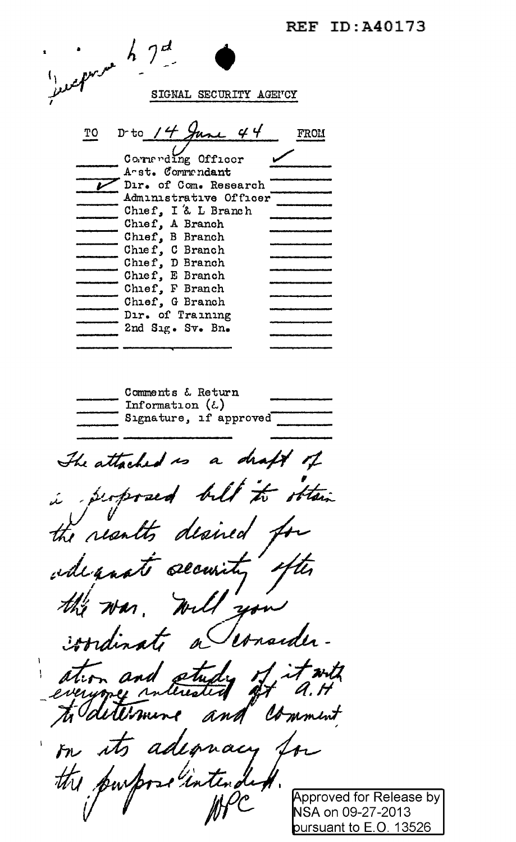**REF ID: A40173** 

|    | shown h get                               |             |
|----|-------------------------------------------|-------------|
|    |                                           |             |
|    |                                           |             |
|    | SIGNAL SECURITY AGENCY                    |             |
|    |                                           |             |
|    |                                           |             |
| TO | D-to $14$ June 44                         | <b>FROM</b> |
|    |                                           |             |
|    | Cornerding Officer                        |             |
|    | A-st. Commandant<br>Dir. of Com. Research |             |
|    | Administrative Officer                    |             |
|    | Chief, I & L Branch                       |             |
|    | Chief, A Branch                           |             |
|    | Chief, B Branch                           |             |
|    | Chief, C Branch                           |             |
|    | Chief, D Branch                           |             |
|    | Chief, E Branch<br>Chief, F Branch        |             |
|    | Chief, G Branch                           |             |
|    | Dir. of Training                          |             |
|    | 2nd Sig. Sv. Bn.                          |             |
|    |                                           |             |
|    |                                           |             |
|    |                                           |             |
|    | Comments & Return                         |             |
|    | Information $(\xi)$                       |             |
|    | Signature, if approved                    |             |
|    |                                           |             |
|    |                                           |             |
|    | The attached is a draft of                |             |
|    |                                           |             |
|    | perposed bill to obtain                   |             |
|    |                                           |             |
|    | the results desired for                   |             |
|    |                                           |             |
|    |                                           |             |
|    | edeposit security often                   |             |
|    |                                           |             |
|    | the was will you                          |             |
|    |                                           |             |
|    | condinate a Consider-                     |             |
|    |                                           |             |
|    |                                           |             |
|    |                                           |             |
|    | ation and study of it with                |             |
|    |                                           |             |
|    |                                           |             |
|    | on its adequacy for                       |             |
|    |                                           |             |
|    |                                           |             |
|    |                                           |             |
|    |                                           |             |
|    | the purpose intendent.                    | NSA on 09-2 |
|    |                                           |             |

r Release by  $-27 - 2013$ NSA on 09-27-2013<br>pursuant to E.O. 13526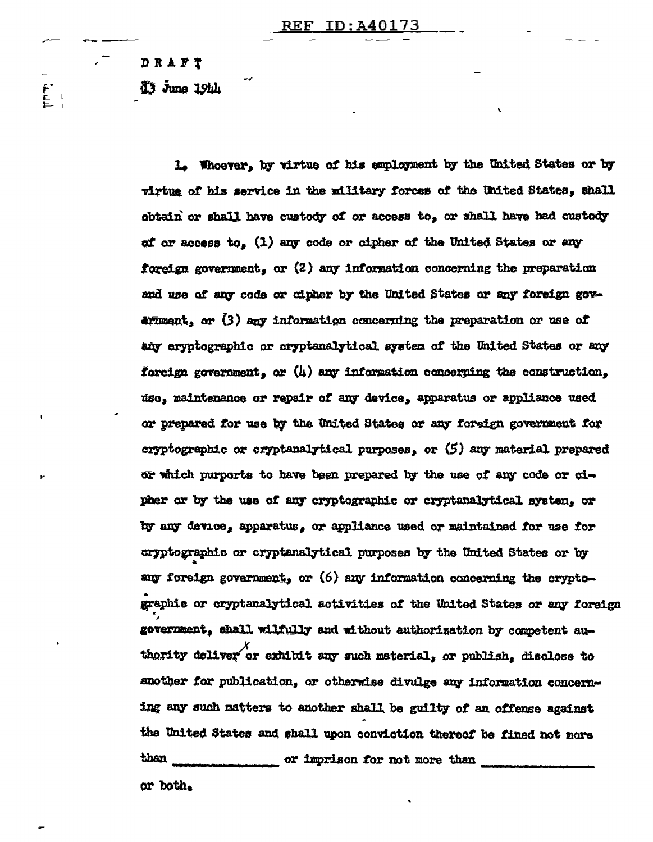DRAFT

 $\mathbf{f}$ 

 $\overline{3}$   $\overline{3}$   $\overline{3}$   $\overline{3}$   $\overline{3}$   $\overline{2}$   $\overline{2}$   $\overline{2}$   $\overline{2}$   $\overline{3}$   $\overline{4}$   $\overline{2}$   $\overline{3}$   $\overline{4}$   $\overline{2}$   $\overline{3}$   $\overline{4}$   $\overline{2}$   $\overline{3}$   $\overline{4}$   $\overline{2}$   $\overline{3}$   $\overline{4}$   $\overline{2}$   $\overline{$ 

1. Whoever, by virtue of his employment by the United States or by virtue of his service in the military forces of the United States. shall obtain or shall have custody of or access to, or shall have had custody of or access to. (1) any code or cipher of the United States or any foreign government, or (2) any information concerning the preparation and use of any code or cipher by the United States or any foreign gov $a$ frægt, or  $(3)$  any information concerning the preparation or use of any eryptographic or cryptanalytical system of the United States or any foreign government, or (4) any information concerning the construction, use, maintenance or repair of any device, apparatus or appliance used or prepared for use by the United States or any foreign government for cryptographic or cryptanalytical purposes, or  $(5)$  any material prepared or which purports to have been prepared by the use of any code or cipher or by the use of any cryptographic or cryptanalytical system, or by any device, apparatus, or appliance used or maintained for use for cryptographic or cryptanalytical purposes by the United States or by any foreign government, or (6) any information concerning the cryptographic or cryptanalytical activities of the United States or any foreign government, shall wilfully and without authorization by competent authority deliver or exhibit any such material, or publish, disclose to another for publication, or otherwise divulge any information concerning any such matters to another shall be guilty of an offense against the United States and shall upon conviction thereof be fined not more than or imprison for not more than or both.